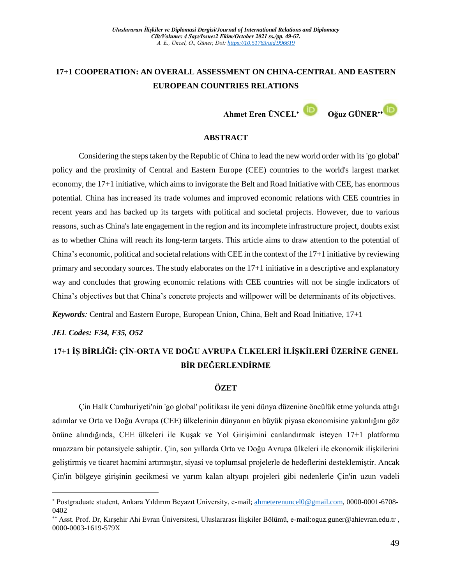## **17+1 COOPERATION: AN OVERALL ASSESSMENT ON CHINA-CENTRAL AND EASTERN EUROPEAN COUNTRIES RELATIONS**

**Ahmet Eren ÜNCEL Oğuz GÜNER**

## **ABSTRACT**

Considering the steps taken by the Republic of China to lead the new world order with its 'go global' policy and the proximity of Central and Eastern Europe (CEE) countries to the world's largest market economy, the 17+1 initiative, which aims to invigorate the Belt and Road Initiative with CEE, has enormous potential. China has increased its trade volumes and improved economic relations with CEE countries in recent years and has backed up its targets with political and societal projects. However, due to various reasons, such as China's late engagement in the region and its incomplete infrastructure project, doubts exist as to whether China will reach its long-term targets. This article aims to draw attention to the potential of China's economic, political and societal relations with CEE in the context of the 17+1 initiative by reviewing primary and secondary sources. The study elaborates on the 17+1 initiative in a descriptive and explanatory way and concludes that growing economic relations with CEE countries will not be single indicators of China's objectives but that China's concrete projects and willpower will be determinants of its objectives.

*Keywords:* Central and Eastern Europe, European Union, China, Belt and Road Initiative, 17+1

## *JEL Codes: F34, F35, O52*

 $\overline{a}$ 

# **17+1 İŞ BİRLİĞİ: ÇİN-ORTA VE DOĞU AVRUPA ÜLKELERİ İLİŞKİLERİ ÜZERİNE GENEL BİR DEĞERLENDİRME**

#### **ÖZET**

Çin Halk Cumhuriyeti'nin 'go global' politikası ile yeni dünya düzenine öncülük etme yolunda attığı adımlar ve Orta ve Doğu Avrupa (CEE) ülkelerinin dünyanın en büyük piyasa ekonomisine yakınlığını göz önüne alındığında, CEE ülkeleri ile Kuşak ve Yol Girişimini canlandırmak isteyen 17+1 platformu muazzam bir potansiyele sahiptir. Çin, son yıllarda Orta ve Doğu Avrupa ülkeleri ile ekonomik ilişkilerini geliştirmiş ve ticaret hacmini artırmıştır, siyasi ve toplumsal projelerle de hedeflerini desteklemiştir. Ancak Çin'in bölgeye girişinin gecikmesi ve yarım kalan altyapı projeleri gibi nedenlerle Çin'in uzun vadeli

<sup>\*</sup> Postgraduate student, Ankara Yıldırım Beyazıt University, e-mail[; ahmeterenuncel0@gmail.com,](mailto:ahmeterenuncel0@gmail.com) 0000-0001-6708-0402

Asst. Prof. Dr, Kırşehir Ahi Evran Üniversitesi, Uluslararası İlişkiler Bölümü, e-mail:oguz.guner@ahievran.edu.tr , 0000-0003-1619-579X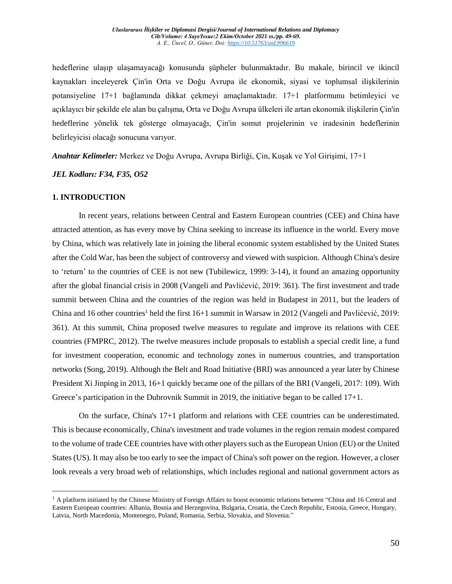hedeflerine ulaşıp ulaşamayacağı konusunda şüpheler bulunmaktadır. Bu makale, birincil ve ikincil kaynakları inceleyerek Çin'in Orta ve Doğu Avrupa ile ekonomik, siyasi ve toplumsal ilişkilerinin potansiyeline 17+1 bağlamında dikkat çekmeyi amaçlamaktadır. 17+1 platformunu betimleyici ve açıklayıcı bir şekilde ele alan bu çalışma, Orta ve Doğu Avrupa ülkeleri ile artan ekonomik ilişkilerin Çin'in hedeflerine yönelik tek gösterge olmayacağı, Çin'in somut projelerinin ve iradesinin hedeflerinin belirleyicisi olacağı sonucuna varıyor.

*Anahtar Kelimeler:* Merkez ve Doğu Avrupa, Avrupa Birliği, Çin, Kuşak ve Yol Girişimi, 17+1

*JEL Kodları: F34, F35, O52*

#### **1. INTRODUCTION**

 $\overline{a}$ 

In recent years, relations between Central and Eastern European countries (CEE) and China have attracted attention, as has every move by China seeking to increase its influence in the world. Every move by China, which was relatively late in joining the liberal economic system established by the United States after the Cold War, has been the subject of controversy and viewed with suspicion. Although China's desire to 'return' to the countries of CEE is not new (Tubilewicz, 1999: 3-14), it found an amazing opportunity after the global financial crisis in 2008 (Vangeli and Pavlićević, 2019: 361). The first investment and trade summit between China and the countries of the region was held in Budapest in 2011, but the leaders of China and 16 other countries<sup>1</sup> held the first 16+1 summit in Warsaw in 2012 (Vangeli and Pavlićević, 2019: 361). At this summit, China proposed twelve measures to regulate and improve its relations with CEE countries (FMPRC, 2012). The twelve measures include proposals to establish a special credit line, a fund for investment cooperation, economic and technology zones in numerous countries, and transportation networks (Song, 2019). Although the Belt and Road Initiative (BRI) was announced a year later by Chinese President Xi Jinping in 2013, 16+1 quickly became one of the pillars of the BRI (Vangeli, 2017: 109). With Greece's participation in the Dubrovnik Summit in 2019, the initiative began to be called 17+1.

On the surface, China's 17+1 platform and relations with CEE countries can be underestimated. This is because economically, China's investment and trade volumes in the region remain modest compared to the volume of trade CEE countries have with other players such as the European Union (EU) or the United States (US). It may also be too early to see the impact of China's soft power on the region. However, a closer look reveals a very broad web of relationships, which includes regional and national government actors as

 $<sup>1</sup>$  A platform initiated by the Chinese Ministry of Foreign Affairs to boost economic relations between "China and 16 Central and</sup> Eastern European countries: Albania, Bosnia and Herzegovina, Bulgaria, Croatia, the Czech Republic, Estonia, Greece, Hungary, Latvia, North Macedonia, Montenegro, Poland, Romania, Serbia, Slovakia, and Slovenia."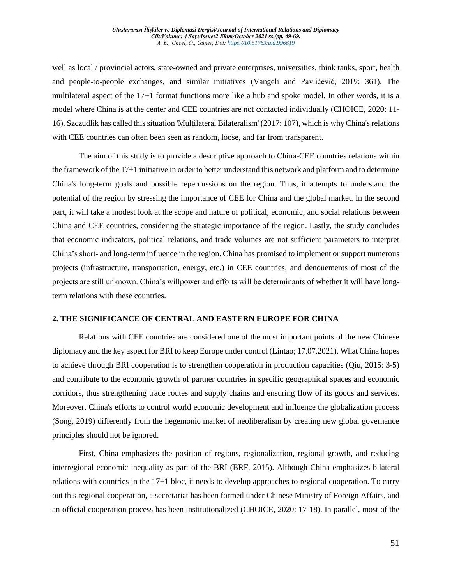well as local / provincial actors, state-owned and private enterprises, universities, think tanks, sport, health and people-to-people exchanges, and similar initiatives (Vangeli and Pavlićević, 2019: 361). The multilateral aspect of the 17+1 format functions more like a hub and spoke model. In other words, it is a model where China is at the center and CEE countries are not contacted individually (CHOICE, 2020: 11- 16). Szczudlik has called this situation 'Multilateral Bilateralism' (2017: 107), which is why China's relations with CEE countries can often been seen as random, loose, and far from transparent.

The aim of this study is to provide a descriptive approach to China-CEE countries relations within the framework of the 17+1 initiative in order to better understand this network and platform and to determine China's long-term goals and possible repercussions on the region. Thus, it attempts to understand the potential of the region by stressing the importance of CEE for China and the global market. In the second part, it will take a modest look at the scope and nature of political, economic, and social relations between China and CEE countries, considering the strategic importance of the region. Lastly, the study concludes that economic indicators, political relations, and trade volumes are not sufficient parameters to interpret China's short- and long-term influence in the region. China has promised to implement or support numerous projects (infrastructure, transportation, energy, etc.) in CEE countries, and denouements of most of the projects are still unknown. China's willpower and efforts will be determinants of whether it will have longterm relations with these countries.

## **2. THE SIGNIFICANCE OF CENTRAL AND EASTERN EUROPE FOR CHINA**

Relations with CEE countries are considered one of the most important points of the new Chinese diplomacy and the key aspect for BRI to keep Europe under control (Lintao; 17.07.2021). What China hopes to achieve through BRI cooperation is to strengthen cooperation in production capacities (Qiu, 2015: 3-5) and contribute to the economic growth of partner countries in specific geographical spaces and economic corridors, thus strengthening trade routes and supply chains and ensuring flow of its goods and services. Moreover, China's efforts to control world economic development and influence the globalization process (Song, 2019) differently from the hegemonic market of neoliberalism by creating new global governance principles should not be ignored.

First, China emphasizes the position of regions, regionalization, regional growth, and reducing interregional economic inequality as part of the BRI (BRF, 2015). Although China emphasizes bilateral relations with countries in the 17+1 bloc, it needs to develop approaches to regional cooperation. To carry out this regional cooperation, a secretariat has been formed under Chinese Ministry of Foreign Affairs, and an official cooperation process has been institutionalized (CHOICE, 2020: 17-18). In parallel, most of the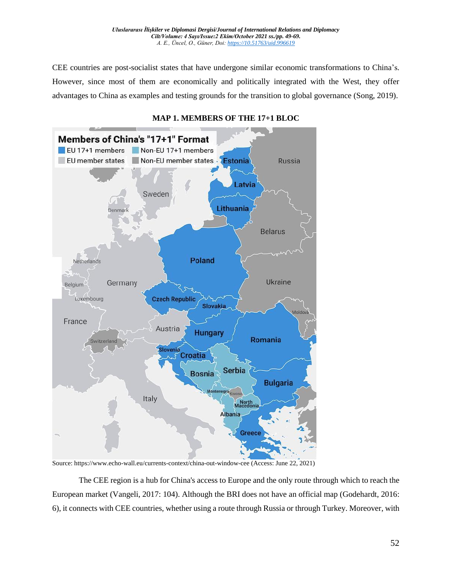CEE countries are post-socialist states that have undergone similar economic transformations to China's. However, since most of them are economically and politically integrated with the West, they offer advantages to China as examples and testing grounds for the transition to global governance (Song, 2019).



## **MAP 1. MEMBERS OF THE 17+1 BLOC**

Source: https://www.echo-wall.eu/currents-context/china-out-window-cee (Access: June 22, 2021)

The CEE region is a hub for China's access to Europe and the only route through which to reach the European market (Vangeli, 2017: 104). Although the BRI does not have an official map (Godehardt, 2016: 6), it connects with CEE countries, whether using a route through Russia or through Turkey. Moreover, with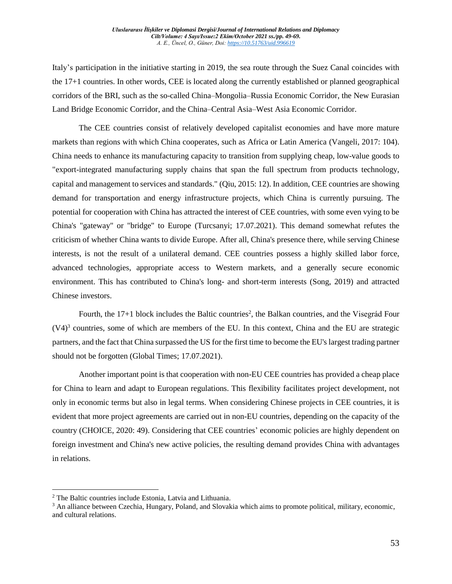Italy's participation in the initiative starting in 2019, the sea route through the Suez Canal coincides with the 17+1 countries. In other words, CEE is located along the currently established or planned geographical corridors of the BRI, such as the so-called China–Mongolia–Russia Economic Corridor, the New Eurasian Land Bridge Economic Corridor, and the China–Central Asia–West Asia Economic Corridor.

The CEE countries consist of relatively developed capitalist economies and have more mature markets than regions with which China cooperates, such as Africa or Latin America (Vangeli, 2017: 104). China needs to enhance its manufacturing capacity to transition from supplying cheap, low-value goods to "export-integrated manufacturing supply chains that span the full spectrum from products technology, capital and management to services and standards." (Qiu, 2015: 12). In addition, CEE countries are showing demand for transportation and energy infrastructure projects, which China is currently pursuing. The potential for cooperation with China has attracted the interest of CEE countries, with some even vying to be China's "gateway" or "bridge" to Europe (Turcsanyi; 17.07.2021). This demand somewhat refutes the criticism of whether China wants to divide Europe. After all, China's presence there, while serving Chinese interests, is not the result of a unilateral demand. CEE countries possess a highly skilled labor force, advanced technologies, appropriate access to Western markets, and a generally secure economic environment. This has contributed to China's long- and short-term interests (Song, 2019) and attracted Chinese investors.

Fourth, the 17+1 block includes the Baltic countries<sup>2</sup>, the Balkan countries, and the Visegrád Four  $(V4)^3$  countries, some of which are members of the EU. In this context, China and the EU are strategic partners, and the fact that China surpassed the US for the first time to become the EU's largest trading partner should not be forgotten (Global Times; 17.07.2021).

Another important point is that cooperation with non-EU CEE countries has provided a cheap place for China to learn and adapt to European regulations. This flexibility facilitates project development, not only in economic terms but also in legal terms. When considering Chinese projects in CEE countries, it is evident that more project agreements are carried out in non-EU countries, depending on the capacity of the country (CHOICE, 2020: 49). Considering that CEE countries' economic policies are highly dependent on foreign investment and China's new active policies, the resulting demand provides China with advantages in relations.

 $\overline{a}$ 

<sup>2</sup> The Baltic countries include Estonia, Latvia and Lithuania.

<sup>&</sup>lt;sup>3</sup> An alliance between Czechia, Hungary, Poland, and Slovakia which aims to promote political, military, economic, and cultural relations.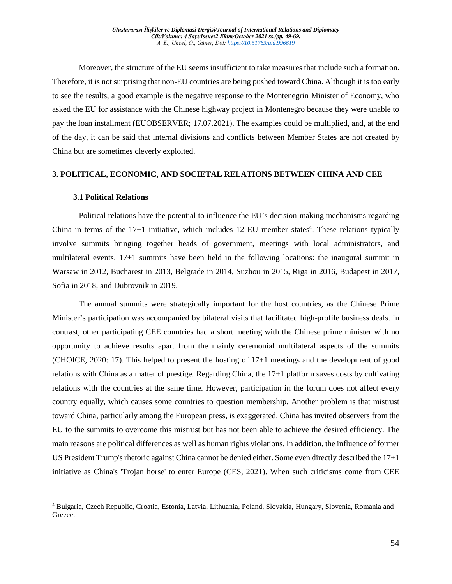Moreover, the structure of the EU seems insufficient to take measures that include such a formation. Therefore, it is not surprising that non-EU countries are being pushed toward China. Although it is too early to see the results, a good example is the negative response to the Montenegrin Minister of Economy, who asked the EU for assistance with the Chinese highway project in Montenegro because they were unable to pay the loan installment (EUOBSERVER; 17.07.2021). The examples could be multiplied, and, at the end of the day, it can be said that internal divisions and conflicts between Member States are not created by China but are sometimes cleverly exploited.

#### **3. POLITICAL, ECONOMIC, AND SOCIETAL RELATIONS BETWEEN CHINA AND CEE**

#### **3.1 Political Relations**

 $\overline{a}$ 

Political relations have the potential to influence the EU's decision-making mechanisms regarding China in terms of the  $17+1$  initiative, which includes 12 EU member states<sup>4</sup>. These relations typically involve summits bringing together heads of government, meetings with local administrators, and multilateral events. 17+1 summits have been held in the following locations: the inaugural summit in Warsaw in 2012, Bucharest in 2013, Belgrade in 2014, Suzhou in 2015, Riga in 2016, Budapest in 2017, Sofia in 2018, and Dubrovnik in 2019.

The annual summits were strategically important for the host countries, as the Chinese Prime Minister's participation was accompanied by bilateral visits that facilitated high-profile business deals. In contrast, other participating CEE countries had a short meeting with the Chinese prime minister with no opportunity to achieve results apart from the mainly ceremonial multilateral aspects of the summits (CHOICE, 2020: 17). This helped to present the hosting of 17+1 meetings and the development of good relations with China as a matter of prestige. Regarding China, the 17+1 platform saves costs by cultivating relations with the countries at the same time. However, participation in the forum does not affect every country equally, which causes some countries to question membership. Another problem is that mistrust toward China, particularly among the European press, is exaggerated. China has invited observers from the EU to the summits to overcome this mistrust but has not been able to achieve the desired efficiency. The main reasons are political differences as well as human rights violations. In addition, the influence of former US President Trump's rhetoric against China cannot be denied either. Some even directly described the 17+1 initiative as China's 'Trojan horse' to enter Europe (CES, 2021). When such criticisms come from CEE

<sup>4</sup> Bulgaria, Czech Republic, Croatia, Estonia, Latvia, Lithuania, Poland, Slovakia, Hungary, Slovenia, Romania and Greece.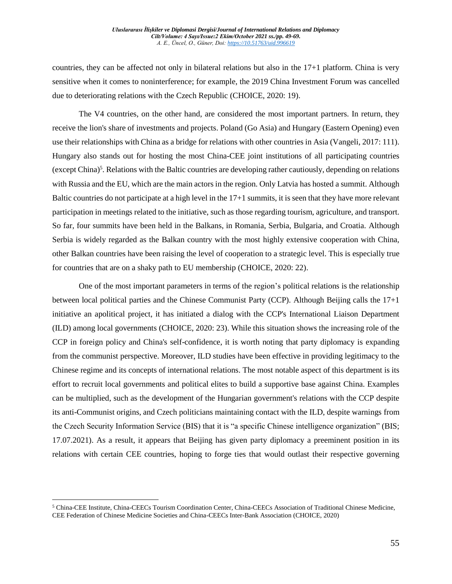countries, they can be affected not only in bilateral relations but also in the 17+1 platform. China is very sensitive when it comes to noninterference; for example, the 2019 China Investment Forum was cancelled due to deteriorating relations with the Czech Republic (CHOICE, 2020: 19).

The V4 countries, on the other hand, are considered the most important partners. In return, they receive the lion's share of investments and projects. Poland (Go Asia) and Hungary (Eastern Opening) even use their relationships with China as a bridge for relations with other countries in Asia (Vangeli, 2017: 111). Hungary also stands out for hosting the most China-CEE joint institutions of all participating countries (except China)<sup>5</sup>. Relations with the Baltic countries are developing rather cautiously, depending on relations with Russia and the EU, which are the main actors in the region. Only Latvia has hosted a summit. Although Baltic countries do not participate at a high level in the 17+1 summits, it is seen that they have more relevant participation in meetings related to the initiative, such as those regarding tourism, agriculture, and transport. So far, four summits have been held in the Balkans, in Romania, Serbia, Bulgaria, and Croatia. Although Serbia is widely regarded as the Balkan country with the most highly extensive cooperation with China, other Balkan countries have been raising the level of cooperation to a strategic level. This is especially true for countries that are on a shaky path to EU membership (CHOICE, 2020: 22).

One of the most important parameters in terms of the region's political relations is the relationship between local political parties and the Chinese Communist Party (CCP). Although Beijing calls the 17+1 initiative an apolitical project, it has initiated a dialog with the CCP's International Liaison Department (ILD) among local governments (CHOICE, 2020: 23). While this situation shows the increasing role of the CCP in foreign policy and China's self-confidence, it is worth noting that party diplomacy is expanding from the communist perspective. Moreover, ILD studies have been effective in providing legitimacy to the Chinese regime and its concepts of international relations. The most notable aspect of this department is its effort to recruit local governments and political elites to build a supportive base against China. Examples can be multiplied, such as the development of the Hungarian government's relations with the CCP despite its anti-Communist origins, and Czech politicians maintaining contact with the ILD, despite warnings from the Czech Security Information Service (BIS) that it is "a specific Chinese intelligence organization" (BIS; 17.07.2021). As a result, it appears that Beijing has given party diplomacy a preeminent position in its relations with certain CEE countries, hoping to forge ties that would outlast their respective governing

 $\overline{a}$ 

<sup>5</sup> China-CEE Institute, China-CEECs Tourism Coordination Center, China-CEECs Association of Traditional Chinese Medicine, CEE Federation of Chinese Medicine Societies and China-CEECs Inter-Bank Association (CHOICE, 2020)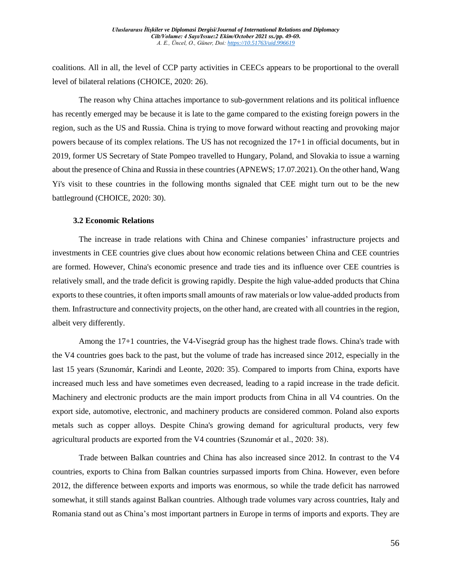coalitions. All in all, the level of CCP party activities in CEECs appears to be proportional to the overall level of bilateral relations (CHOICE, 2020: 26).

The reason why China attaches importance to sub-government relations and its political influence has recently emerged may be because it is late to the game compared to the existing foreign powers in the region, such as the US and Russia. China is trying to move forward without reacting and provoking major powers because of its complex relations. The US has not recognized the 17+1 in official documents, but in 2019, former US Secretary of State Pompeo travelled to Hungary, Poland, and Slovakia to issue a warning about the presence of China and Russia in these countries (APNEWS; 17.07.2021). On the other hand, Wang Yi's visit to these countries in the following months signaled that CEE might turn out to be the new battleground (CHOICE, 2020: 30).

#### **3.2 Economic Relations**

The increase in trade relations with China and Chinese companies' infrastructure projects and investments in CEE countries give clues about how economic relations between China and CEE countries are formed. However, China's economic presence and trade ties and its influence over CEE countries is relatively small, and the trade deficit is growing rapidly. Despite the high value-added products that China exports to these countries, it often imports small amounts of raw materials or low value-added products from them. Infrastructure and connectivity projects, on the other hand, are created with all countries in the region, albeit very differently.

Among the 17+1 countries, the V4-Visegrád group has the highest trade flows. China's trade with the V4 countries goes back to the past, but the volume of trade has increased since 2012, especially in the last 15 years (Szunomár, Karindi and Leonte, 2020: 35). Compared to imports from China, exports have increased much less and have sometimes even decreased, leading to a rapid increase in the trade deficit. Machinery and electronic products are the main import products from China in all V4 countries. On the export side, automotive, electronic, and machinery products are considered common. Poland also exports metals such as copper alloys. Despite China's growing demand for agricultural products, very few agricultural products are exported from the V4 countries (Szunomár et al., 2020: 38).

Trade between Balkan countries and China has also increased since 2012. In contrast to the V4 countries, exports to China from Balkan countries surpassed imports from China. However, even before 2012, the difference between exports and imports was enormous, so while the trade deficit has narrowed somewhat, it still stands against Balkan countries. Although trade volumes vary across countries, Italy and Romania stand out as China's most important partners in Europe in terms of imports and exports. They are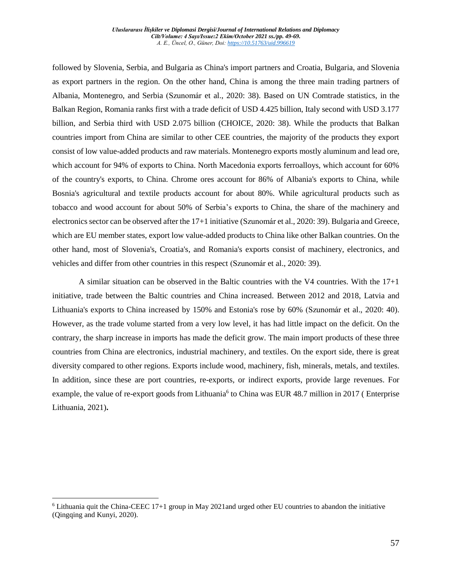followed by Slovenia, Serbia, and Bulgaria as China's import partners and Croatia, Bulgaria, and Slovenia as export partners in the region. On the other hand, China is among the three main trading partners of Albania, Montenegro, and Serbia (Szunomár et al., 2020: 38). Based on UN Comtrade statistics, in the Balkan Region, Romania ranks first with a trade deficit of USD 4.425 billion, Italy second with USD 3.177 billion, and Serbia third with USD 2.075 billion (CHOICE, 2020: 38). While the products that Balkan countries import from China are similar to other CEE countries, the majority of the products they export consist of low value-added products and raw materials. Montenegro exports mostly aluminum and lead ore, which account for 94% of exports to China. North Macedonia exports ferroalloys, which account for 60% of the country's exports, to China. Chrome ores account for 86% of Albania's exports to China, while Bosnia's agricultural and textile products account for about 80%. While agricultural products such as tobacco and wood account for about 50% of Serbia's exports to China, the share of the machinery and electronics sector can be observed after the 17+1 initiative (Szunomár et al., 2020: 39). Bulgaria and Greece, which are EU member states, export low value-added products to China like other Balkan countries. On the other hand, most of Slovenia's, Croatia's, and Romania's exports consist of machinery, electronics, and vehicles and differ from other countries in this respect (Szunomár et al., 2020: 39).

A similar situation can be observed in the Baltic countries with the V4 countries. With the 17+1 initiative, trade between the Baltic countries and China increased. Between 2012 and 2018, Latvia and Lithuania's exports to China increased by 150% and Estonia's rose by 60% (Szunomár et al., 2020: 40). However, as the trade volume started from a very low level, it has had little impact on the deficit. On the contrary, the sharp increase in imports has made the deficit grow. The main import products of these three countries from China are electronics, industrial machinery, and textiles. On the export side, there is great diversity compared to other regions. Exports include wood, machinery, fish, minerals, metals, and textiles. In addition, since these are port countries, re-exports, or indirect exports, provide large revenues. For example, the value of re-export goods from Lithuania<sup>6</sup> to China was EUR 48.7 million in 2017 (Enterprise Lithuania, 2021)**.**

 $\overline{a}$ 

 $6$  Lithuania quit the China-CEEC 17+1 group in May 2021and urged other EU countries to abandon the initiative (Qingqing and Kunyi, 2020).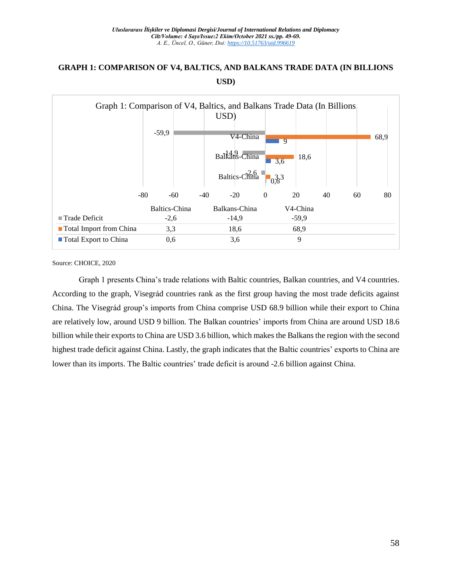## **GRAPH 1: COMPARISON OF V4, BALTICS, AND BALKANS TRADE DATA (IN BILLIONS USD)**

| Graph 1: Comparison of V4, Baltics, and Balkans Trade Data (In Billions |                      |       |                       |            |      |    |    |      |  |  |  |
|-------------------------------------------------------------------------|----------------------|-------|-----------------------|------------|------|----|----|------|--|--|--|
|                                                                         |                      |       | USD)                  |            |      |    |    |      |  |  |  |
|                                                                         | $-59,9$              |       | V <sub>4</sub> -China | 9          |      |    |    | 68,9 |  |  |  |
|                                                                         |                      |       | Balkans-China         | 3,6        | 18,6 |    |    |      |  |  |  |
|                                                                         |                      |       | Baltics-China         | $0.33^{3}$ |      |    |    |      |  |  |  |
| $-80$                                                                   | $-60$                | $-40$ | $-20$                 | $\Omega$   | 20   | 40 | 60 | 80   |  |  |  |
|                                                                         | <b>Baltics-China</b> |       | Balkans-China         | V4-China   |      |    |    |      |  |  |  |
| $\blacksquare$ Trade Deficit                                            | $-2,6$               |       | $-14,9$               | $-59,9$    |      |    |    |      |  |  |  |
| <b>Total Import from China</b>                                          | 3,3                  |       | 18,6                  | 68,9       |      |    |    |      |  |  |  |
| <b>T</b> otal Export to China                                           | 0,6                  |       | 3,6                   |            | 9    |    |    |      |  |  |  |

Source: CHOICE, 2020

Graph 1 presents China's trade relations with Baltic countries, Balkan countries, and V4 countries. According to the graph, Visegrád countries rank as the first group having the most trade deficits against China. The Visegrád group's imports from China comprise USD 68.9 billion while their export to China are relatively low, around USD 9 billion. The Balkan countries' imports from China are around USD 18.6 billion while their exports to China are USD 3.6 billion, which makes the Balkans the region with the second highest trade deficit against China. Lastly, the graph indicates that the Baltic countries' exports to China are lower than its imports. The Baltic countries' trade deficit is around -2.6 billion against China.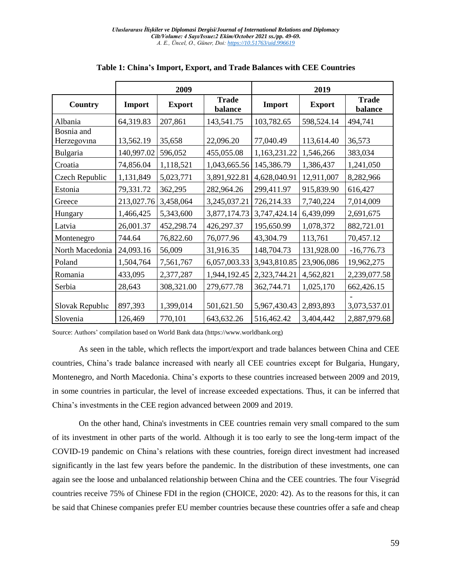|                           |            | 2009          |                         | 2019         |               |                         |  |
|---------------------------|------------|---------------|-------------------------|--------------|---------------|-------------------------|--|
| Country                   | Import     | <b>Export</b> | <b>Trade</b><br>balance | Import       | <b>Export</b> | <b>Trade</b><br>balance |  |
| Albania                   | 64,319.83  | 207,861       | 143,541.75              | 103,782.65   | 598,524.14    | 494,741                 |  |
| Bosnia and<br>Herzegovina | 13,562.19  | 35,658        | 22,096.20               | 77,040.49    | 113,614.40    | 36,573                  |  |
| Bulgaria                  | 140,997.02 | 596,052       | 455,055.08              | 1,163,231.22 | 1,546,266     | 383,034                 |  |
| Croatia                   | 74,856.04  | 1,118,521     | 1,043,665.56            | 145,386.79   | 1,386,437     | 1,241,050               |  |
| Czech Republic            | 1,131,849  | 5,023,771     | 3,891,922.81            | 4,628,040.91 | 12,911,007    | 8,282,966               |  |
| Estonia                   | 79,331.72  | 362,295       | 282,964.26              | 299,411.97   | 915,839.90    | 616,427                 |  |
| Greece                    | 213,027.76 | 3,458,064     | 3,245,037.21            | 726,214.33   | 7,740,224     | 7,014,009               |  |
| Hungary                   | 1,466,425  | 5,343,600     | 3,877,174.73            | 3,747,424.14 | 6,439,099     | 2,691,675               |  |
| Latvia                    | 26,001.37  | 452,298.74    | 426,297.37              | 195,650.99   | 1,078,372     | 882,721.01              |  |
| Montenegro                | 744.64     | 76,822.60     | 76,077.96               | 43,304.79    | 113,761       | 70,457.12               |  |
| North Macedonia           | 24,093.16  | 56,009        | 31,916.35               | 148,704.73   | 131,928.00    | $-16,776.73$            |  |
| Poland                    | 1,504,764  | 7,561,767     | 6,057,003.33            | 3,943,810.85 | 23,906,086    | 19,962,275              |  |
| Romania                   | 433,095    | 2,377,287     | 1,944,192.45            | 2,323,744.21 | 4,562,821     | 2,239,077.58            |  |
| Serbia                    | 28,643     | 308,321.00    | 279,677.78              | 362,744.71   | 1,025,170     | 662,426.15              |  |
| Slovak Republic           | 897,393    | 1,399,014     | 501,621.50              | 5,967,430.43 | 2,893,893     | 3,073,537.01            |  |
| Slovenia                  | 126,469    | 770,101       | 643, 632. 26            | 516,462.42   | 3,404,442     | 2,887,979.68            |  |

## **Table 1: China's Import, Export, and Trade Balances with CEE Countries**

Source: Authors' compilation based on World Bank data (https://www.worldbank.org)

As seen in the table, which reflects the import/export and trade balances between China and CEE countries, China's trade balance increased with nearly all CEE countries except for Bulgaria, Hungary, Montenegro, and North Macedonia. China's exports to these countries increased between 2009 and 2019, in some countries in particular, the level of increase exceeded expectations. Thus, it can be inferred that China's investments in the CEE region advanced between 2009 and 2019.

On the other hand, China's investments in CEE countries remain very small compared to the sum of its investment in other parts of the world. Although it is too early to see the long-term impact of the COVID-19 pandemic on China's relations with these countries, foreign direct investment had increased significantly in the last few years before the pandemic. In the distribution of these investments, one can again see the loose and unbalanced relationship between China and the CEE countries. The four Visegrád countries receive 75% of Chinese FDI in the region (CHOICE, 2020: 42). As to the reasons for this, it can be said that Chinese companies prefer EU member countries because these countries offer a safe and cheap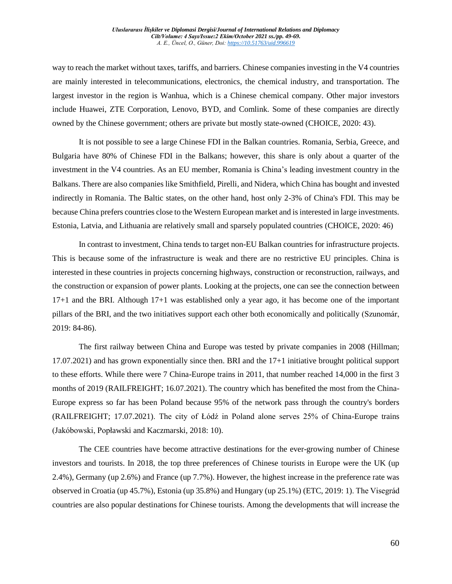way to reach the market without taxes, tariffs, and barriers. Chinese companies investing in the V4 countries are mainly interested in telecommunications, electronics, the chemical industry, and transportation. The largest investor in the region is Wanhua, which is a Chinese chemical company. Other major investors include Huawei, ZTE Corporation, Lenovo, BYD, and Comlink. Some of these companies are directly owned by the Chinese government; others are private but mostly state-owned (CHOICE, 2020: 43).

It is not possible to see a large Chinese FDI in the Balkan countries. Romania, Serbia, Greece, and Bulgaria have 80% of Chinese FDI in the Balkans; however, this share is only about a quarter of the investment in the V4 countries. As an EU member, Romania is China's leading investment country in the Balkans. There are also companies like Smithfield, Pirelli, and Nidera, which China has bought and invested indirectly in Romania. The Baltic states, on the other hand, host only 2-3% of China's FDI. This may be because China prefers countries close to the Western European market and is interested in large investments. Estonia, Latvia, and Lithuania are relatively small and sparsely populated countries (CHOICE, 2020: 46)

In contrast to investment, China tends to target non-EU Balkan countries for infrastructure projects. This is because some of the infrastructure is weak and there are no restrictive EU principles. China is interested in these countries in projects concerning highways, construction or reconstruction, railways, and the construction or expansion of power plants. Looking at the projects, one can see the connection between 17+1 and the BRI. Although 17+1 was established only a year ago, it has become one of the important pillars of the BRI, and the two initiatives support each other both economically and politically (Szunomár, 2019: 84-86).

The first railway between China and Europe was tested by private companies in 2008 (Hillman; 17.07.2021) and has grown exponentially since then. BRI and the 17+1 initiative brought political support to these efforts. While there were 7 China-Europe trains in 2011, that number reached 14,000 in the first 3 months of 2019 (RAILFREIGHT; 16.07.2021). The country which has benefited the most from the China-Europe express so far has been Poland because 95% of the network pass through the country's borders (RAILFREIGHT; 17.07.2021). The city of Łódź in Poland alone serves 25% of China-Europe trains (Jakóbowski, Popławski and Kaczmarski, 2018: 10).

The CEE countries have become attractive destinations for the ever-growing number of Chinese investors and tourists. In 2018, the top three preferences of Chinese tourists in Europe were the UK (up 2.4%), Germany (up 2.6%) and France (up 7.7%). However, the highest increase in the preference rate was observed in Croatia (up 45.7%), Estonia (up 35.8%) and Hungary (up 25.1%) (ETC, 2019: 1). The Visegrád countries are also popular destinations for Chinese tourists. Among the developments that will increase the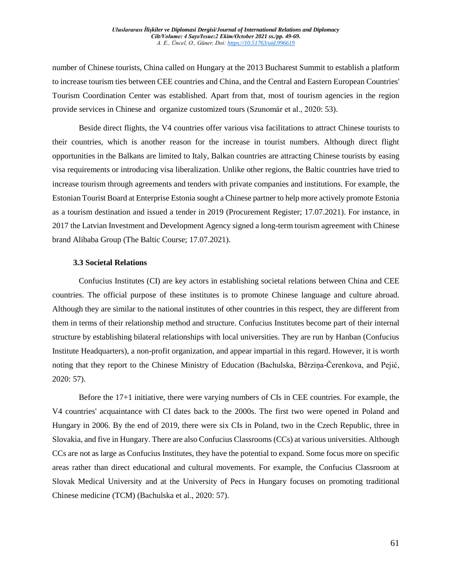number of Chinese tourists, China called on Hungary at the 2013 Bucharest Summit to establish a platform to increase tourism ties between CEE countries and China, and the Central and Eastern European Countries' Tourism Coordination Center was established. Apart from that, most of tourism agencies in the region provide services in Chinese and organize customized tours (Szunomár et al., 2020: 53).

Beside direct flights, the V4 countries offer various visa facilitations to attract Chinese tourists to their countries, which is another reason for the increase in tourist numbers. Although direct flight opportunities in the Balkans are limited to Italy, Balkan countries are attracting Chinese tourists by easing visa requirements or introducing visa liberalization. Unlike other regions, the Baltic countries have tried to increase tourism through agreements and tenders with private companies and institutions. For example, the Estonian Tourist Board at Enterprise Estonia sought a Chinese partner to help more actively promote Estonia as a tourism destination and issued a tender in 2019 (Procurement Register; 17.07.2021). For instance, in 2017 the Latvian Investment and Development Agency signed a long-term tourism agreement with Chinese brand Alibaba Group (The Baltic Course; 17.07.2021).

#### **3.3 Societal Relations**

Confucius Institutes (CI) are key actors in establishing societal relations between China and CEE countries. The official purpose of these institutes is to promote Chinese language and culture abroad. Although they are similar to the national institutes of other countries in this respect, they are different from them in terms of their relationship method and structure. Confucius Institutes become part of their internal structure by establishing bilateral relationships with local universities. They are run by Hanban (Confucius Institute Headquarters), a non-profit organization, and appear impartial in this regard. However, it is worth noting that they report to the Chinese Ministry of Education (Bachulska, Bērziņa-Čerenkova, and Pejić, 2020: 57).

Before the 17+1 initiative, there were varying numbers of CIs in CEE countries. For example, the V4 countries' acquaintance with CI dates back to the 2000s. The first two were opened in Poland and Hungary in 2006. By the end of 2019, there were six CIs in Poland, two in the Czech Republic, three in Slovakia, and five in Hungary. There are also Confucius Classrooms (CCs) at various universities. Although CCs are not as large as Confucius Institutes, they have the potential to expand. Some focus more on specific areas rather than direct educational and cultural movements. For example, the Confucius Classroom at Slovak Medical University and at the University of Pecs in Hungary focuses on promoting traditional Chinese medicine (TCM) (Bachulska et al., 2020: 57).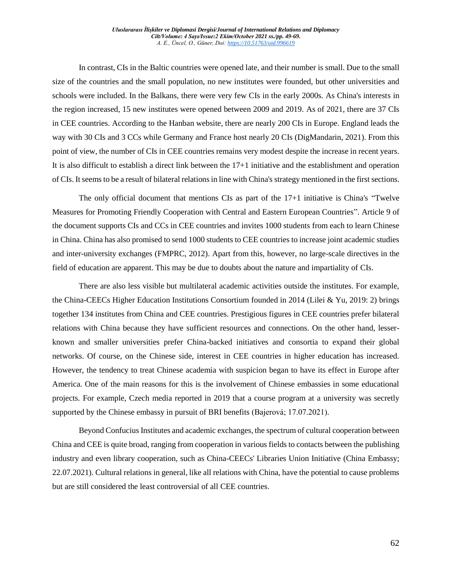In contrast, CIs in the Baltic countries were opened late, and their number is small. Due to the small size of the countries and the small population, no new institutes were founded, but other universities and schools were included. In the Balkans, there were very few CIs in the early 2000s. As China's interests in the region increased, 15 new institutes were opened between 2009 and 2019. As of 2021, there are 37 CIs in CEE countries. According to the Hanban website, there are nearly 200 CIs in Europe. England leads the way with 30 CIs and 3 CCs while Germany and France host nearly 20 CIs (DigMandarin, 2021). From this point of view, the number of CIs in CEE countries remains very modest despite the increase in recent years. It is also difficult to establish a direct link between the 17+1 initiative and the establishment and operation of CIs. It seems to be a result of bilateral relations in line with China's strategy mentioned in the first sections.

The only official document that mentions CIs as part of the 17+1 initiative is China's "Twelve Measures for Promoting Friendly Cooperation with Central and Eastern European Countries". Article 9 of the document supports CIs and CCs in CEE countries and invites 1000 students from each to learn Chinese in China. China has also promised to send 1000 students to CEE countries to increase joint academic studies and inter-university exchanges (FMPRC, 2012). Apart from this, however, no large-scale directives in the field of education are apparent. This may be due to doubts about the nature and impartiality of CIs.

There are also less visible but multilateral academic activities outside the institutes. For example, the China-CEECs Higher Education Institutions Consortium founded in 2014 (Lilei & Yu, 2019: 2) brings together 134 institutes from China and CEE countries. Prestigious figures in CEE countries prefer bilateral relations with China because they have sufficient resources and connections. On the other hand, lesserknown and smaller universities prefer China-backed initiatives and consortia to expand their global networks. Of course, on the Chinese side, interest in CEE countries in higher education has increased. However, the tendency to treat Chinese academia with suspicion began to have its effect in Europe after America. One of the main reasons for this is the involvement of Chinese embassies in some educational projects. For example, Czech media reported in 2019 that a course program at a university was secretly supported by the Chinese embassy in pursuit of BRI benefits (Bajerová; 17.07.2021).

Beyond Confucius Institutes and academic exchanges, the spectrum of cultural cooperation between China and CEE is quite broad, ranging from cooperation in various fields to contacts between the publishing industry and even library cooperation, such as China-CEECs' Libraries Union Initiative (China Embassy; 22.07.2021). Cultural relations in general, like all relations with China, have the potential to cause problems but are still considered the least controversial of all CEE countries.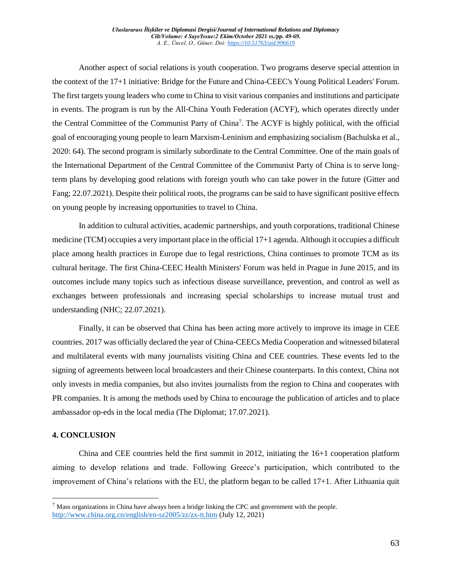Another aspect of social relations is youth cooperation. Two programs deserve special attention in the context of the 17+1 initiative: Bridge for the Future and China-CEEC's Young Political Leaders' Forum. The first targets young leaders who come to China to visit various companies and institutions and participate in events. The program is run by the All-China Youth Federation (ACYF), which operates directly under the Central Committee of the Communist Party of China<sup>7</sup>. The ACYF is highly political, with the official goal of encouraging young people to learn Marxism-Leninism and emphasizing socialism (Bachulska et al., 2020: 64). The second program is similarly subordinate to the Central Committee. One of the main goals of the International Department of the Central Committee of the Communist Party of China is to serve longterm plans by developing good relations with foreign youth who can take power in the future (Gitter and Fang; 22.07.2021). Despite their political roots, the programs can be said to have significant positive effects on young people by increasing opportunities to travel to China.

In addition to cultural activities, academic partnerships, and youth corporations, traditional Chinese medicine (TCM) occupies a very important place in the official 17+1 agenda. Although it occupies a difficult place among health practices in Europe due to legal restrictions, China continues to promote TCM as its cultural heritage. The first China-CEEC Health Ministers' Forum was held in Prague in June 2015, and its outcomes include many topics such as infectious disease surveillance, prevention, and control as well as exchanges between professionals and increasing special scholarships to increase mutual trust and understanding (NHC; 22.07.2021).

Finally, it can be observed that China has been acting more actively to improve its image in CEE countries. 2017 was officially declared the year of China-CEECs Media Cooperation and witnessed bilateral and multilateral events with many journalists visiting China and CEE countries. These events led to the signing of agreements between local broadcasters and their Chinese counterparts. In this context, China not only invests in media companies, but also invites journalists from the region to China and cooperates with PR companies. It is among the methods used by China to encourage the publication of articles and to place ambassador op-eds in the local media (The Diplomat; 17.07.2021).

## **4. CONCLUSION**

 $\overline{a}$ 

China and CEE countries held the first summit in 2012, initiating the 16+1 cooperation platform aiming to develop relations and trade. Following Greece's participation, which contributed to the improvement of China's relations with the EU, the platform began to be called 17+1. After Lithuania quit

 $<sup>7</sup>$  Mass organizations in China have always been a bridge linking the CPC and government with the people.</sup> <http://www.china.org.cn/english/en-sz2005/zz/zx-tt.htm> (July 12, 2021)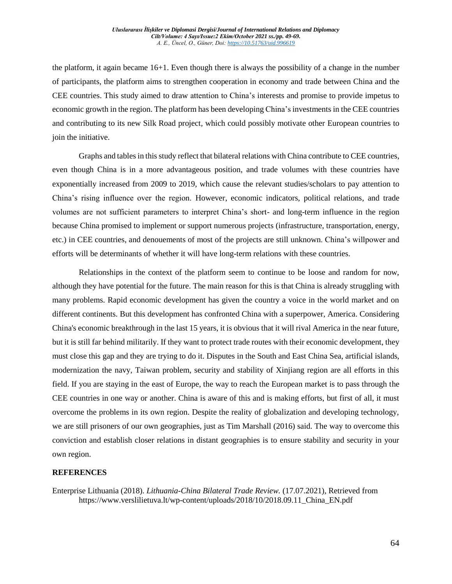the platform, it again became  $16+1$ . Even though there is always the possibility of a change in the number of participants, the platform aims to strengthen cooperation in economy and trade between China and the CEE countries. This study aimed to draw attention to China's interests and promise to provide impetus to economic growth in the region. The platform has been developing China's investments in the CEE countries and contributing to its new Silk Road project, which could possibly motivate other European countries to join the initiative.

Graphs and tables in this study reflect that bilateral relations with China contribute to CEE countries, even though China is in a more advantageous position, and trade volumes with these countries have exponentially increased from 2009 to 2019, which cause the relevant studies/scholars to pay attention to China's rising influence over the region. However, economic indicators, political relations, and trade volumes are not sufficient parameters to interpret China's short- and long-term influence in the region because China promised to implement or support numerous projects (infrastructure, transportation, energy, etc.) in CEE countries, and denouements of most of the projects are still unknown. China's willpower and efforts will be determinants of whether it will have long-term relations with these countries.

Relationships in the context of the platform seem to continue to be loose and random for now, although they have potential for the future. The main reason for this is that China is already struggling with many problems. Rapid economic development has given the country a voice in the world market and on different continents. But this development has confronted China with a superpower, America. Considering China's economic breakthrough in the last 15 years, it is obvious that it will rival America in the near future, but it is still far behind militarily. If they want to protect trade routes with their economic development, they must close this gap and they are trying to do it. Disputes in the South and East China Sea, artificial islands, modernization the navy, Taiwan problem, security and stability of Xinjiang region are all efforts in this field. If you are staying in the east of Europe, the way to reach the European market is to pass through the CEE countries in one way or another. China is aware of this and is making efforts, but first of all, it must overcome the problems in its own region. Despite the reality of globalization and developing technology, we are still prisoners of our own geographies, just as Tim Marshall (2016) said. The way to overcome this conviction and establish closer relations in distant geographies is to ensure stability and security in your own region.

## **REFERENCES**

Enterprise Lithuania (2018). *Lithuania-China Bilateral Trade Review.* (17.07.2021), Retrieved from https://www.verslilietuva.lt/wp-content/uploads/2018/10/2018.09.11\_China\_EN.pdf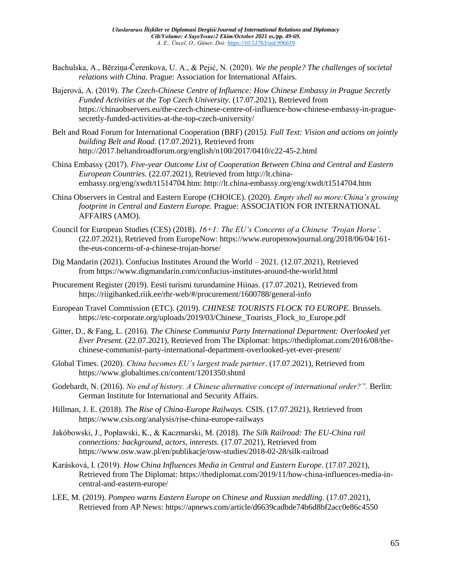- Bachulska, A., Bērziņa-Čerenkova, U. A., & Pejić, N. (2020). *We the people? The challenges of societal relations with China.* Prague: Association for International Affairs.
- Bajerová, A. (2019). *The Czech-Chinese Centre of Influence: How Chinese Embassy in Prague Secretly Funded Activities at the Top Czech University*. (17.07.2021), Retrieved from https://chinaobservers.eu/the-czech-chinese-centre-of-influence-how-chinese-embassy-in-praguesecretly-funded-activities-at-the-top-czech-university/
- Belt and Road Forum for International Cooperation (BRF) (2015*). Full Text: Vision and actions on jointly building Belt and Road.* (17.07.2021), Retrieved from http://2017.beltandroadforum.org/english/n100/2017/0410/c22-45-2.html
- China Embassy (2017). *Five-year Outcome List of Cooperation Between China and Central and Eastern European Countries.* (22.07.2021), Retrieved from http://lt.chinaembassy.org/eng/xwdt/t1514704.htm: http://lt.china-embassy.org/eng/xwdt/t1514704.htm
- China Observers in Central and Eastern Europe (CHOICE). (2020). *Empty shell no more:China's growing footprint in Central and Eastern Europe.* Prague: ASSOCIATION FOR INTERNATIONAL AFFAIRS (AMO).
- Council for European Studies (CES) (2018). *16+1: The EU's Concerns of a Chinese 'Trojan Horse'.* (22.07.2021), Retrieved from EuropeNow: https://www.europenowjournal.org/2018/06/04/161 the-eus-concerns-of-a-chinese-trojan-horse/
- Dig Mandarin (2021). Confucius Institutes Around the World 2021*.* (12.07.2021), Retrieved from https://www.digmandarin.com/confucius-institutes-around-the-world.html
- Procurement Register (2019). Eesti turismi turundamine Hiinas. (17.07.2021), Retrieved from https://riigihanked.riik.ee/rhr-web/#/procurement/1600788/general-info
- European Travel Commission (ETC). (2019). *CHINESE TOURISTS FLOCK TO EUROPE.* Brussels. https://etc-corporate.org/uploads/2019/03/Chinese\_Tourists\_Flock\_to\_Europe.pdf
- Gitter, D., & Fang, L. (2016). *The Chinese Communist Party International Department: Overlooked yet Ever Present.* (22.07.2021), Retrieved from The Diplomat: https://thediplomat.com/2016/08/thechinese-communist-party-international-department-overlooked-yet-ever-present/
- Global Times. (2020). *China becomes EU's largest trade partner*. (17.07.2021), Retrieved from https://www.globaltimes.cn/content/1201350.shtml
- Godehardt, N. (2016). *No end of history. A Chinese alternative concept of international order?".* Berlin: German Institute for International and Security Affairs.
- Hillman, J. E. (2018). *The Rise of China-Europe Railways.* CSIS. (17.07.2021), Retrieved from https://www.csis.org/analysis/rise-china-europe-railways
- Jakóbowski, J., Popławski, K., & Kaczmarski, M. (2018). *The Silk Railroad: The EU-China rail connections: background, actors, interests.* (17.07.2021), Retrieved from https://www.osw.waw.pl/en/publikacje/osw-studies/2018-02-28/silk-railroad
- Karásková, I. (2019). *How China Influences Media in Central and Eastern Europe*. (17.07.2021), Retrieved from The Diplomat: https://thediplomat.com/2019/11/how-china-influences-media-incentral-and-eastern-europe/
- LEE, M. (2019). *Pompeo warns Eastern Europe on Chinese and Russian meddling*. (17.07.2021), Retrieved from AP News: https://apnews.com/article/d6639cadbde74b6d8bf2acc0e86c4550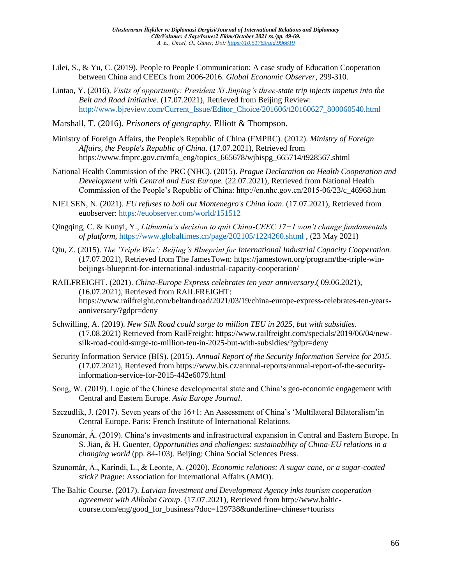- Lilei, S., & Yu, C. (2019). People to People Communication: A case study of Education Cooperation between China and CEECs from 2006-2016. *Global Economic Observer*, 299-310.
- Lintao, Y. (2016). *Visits of opportunity: President Xi Jinping's three-state trip injects impetus into the Belt and Road Initiative*. (17.07.2021), Retrieved from Beijing Review: [http://www.bjreview.com/Current\\_Issue/Editor\\_Choice/201606/t20160627\\_800060540.html](http://www.bjreview.com/Current_Issue/Editor_Choice/201606/t20160627_800060540.html)

Marshall, T. (2016). *Prisoners of geography*. Elliott & Thompson.

- Ministry of Foreign Affairs, the People's Republic of China (FMPRC). (2012). *Ministry of Foreign Affairs, the People's Republic of China*. (17.07.2021), Retrieved from https://www.fmprc.gov.cn/mfa\_eng/topics\_665678/wjbispg\_665714/t928567.shtml
- National Health Commission of the PRC (NHC). (2015). *Prague Declaration on Health Cooperation and Development with Central and East Europe.* (22.07.2021), Retrieved from National Health Commission of the People's Republic of China: http://en.nhc.gov.cn/2015-06/23/c\_46968.htm
- NIELSEN, N. (2021). *EU refuses to bail out Montenegro's China loan*. (17.07.2021), Retrieved from euobserver:<https://euobserver.com/world/151512>
- Qingqing, C. & Kunyi, Y., *Lithuania's decision to quit China-CEEC 17+1 won't change fundamentals of platform*,<https://www.globaltimes.cn/page/202105/1224260.shtml> , (23 May 2021)
- Qiu, Z. (2015). *The 'Triple Win': Beijing's Blueprint for International Industrial Capacity Cooperation.* (17.07.2021), Retrieved from The JamesTown: https://jamestown.org/program/the-triple-winbeijings-blueprint-for-international-industrial-capacity-cooperation/
- RAILFREIGHT. (2021). *China-Europe Express celebrates ten year anniversary*.( 09.06.2021), (16.07.2021), Retrieved from RAILFREIGHT: https://www.railfreight.com/beltandroad/2021/03/19/china-europe-express-celebrates-ten-yearsanniversary/?gdpr=deny
- Schwilling, A. (2019). *New Silk Road could surge to million TEU in 2025, but with subsidies*. (17.08.2021) Retrieved from RailFreight: https://www.railfreight.com/specials/2019/06/04/newsilk-road-could-surge-to-million-teu-in-2025-but-with-subsidies/?gdpr=deny
- Security Information Service (BIS). (2015). *Annual Report of the Security Information Service for 2015.* (17.07.2021), Retrieved from https://www.bis.cz/annual-reports/annual-report-of-the-securityinformation-service-for-2015-442e6079.html
- Song, W. (2019). Logic of the Chinese developmental state and China's geo-economic engagement with Central and Eastern Europe. *Asia Europe Journal*.
- Szczudlik, J. (2017). Seven years of the 16+1: An Assessment of China's 'Multilateral Bilateralism'in Central Europe. Paris: French Institute of International Relations.
- Szunomár, Á. (2019). China's investments and infrastructural expansion in Central and Eastern Europe. In S. Jian, & H. Guenter, *Opportunities and challenges: sustainability of China-EU relations in a changing world* (pp. 84-103). Beijing: China Social Sciences Press.
- Szunomár, Á., Karindi, L., & Leonte, A. (2020). *Economic relations: A sugar cane, or a sugar-coated stick?* Prague: Association for International Affairs (AMO).
- The Baltic Course. (2017). *Latvian Investment and Development Agency inks tourism cooperation agreement with Alibaba Group*. (17.07.2021), Retrieved from http://www.balticcourse.com/eng/good\_for\_business/?doc=129738&underline=chinese+tourists